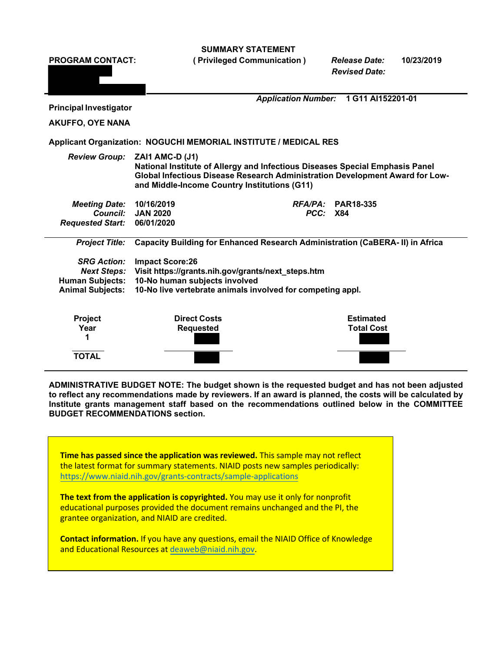**SUMMARY STATEMENT**

**PROGRAM CONTACT: ( Privileged Communication )** *Release Date:* **10/23/2019** *Revised Date: Application Number:* **1 G11 AI152201-01 Principal Investigator AKUFFO, OYE NANA Applicant Organization: NOGUCHI MEMORIAL INSTITUTE / MEDICAL RES** *Review Group:* **ZAI1 AMC-D (J1) National Institute of Allergy and Infectious Diseases Special Emphasis Panel Global Infectious Disease Research Administration Development Award for Lowand Middle-Income Country Institutions (G11)** *Meeting Date:* **10/16/2019** *RFA/PA:* **PAR18-335** *Council:* **JAN 2020** *PCC:* **X84** *Requested Start:* **06/01/2020** *Project Title:* **Capacity Building for Enhanced Research Administration (CaBERA- II) in Africa** *SRG Action:* **Impact Score:26** *Next Steps:* **Visit https://grants.nih.gov/grants/next\_steps.htm Human Subjects: 10-No human subjects involved Animal Subjects: 10-No live vertebrate animals involved for competing appl. Project Direct Costs Estimated Year Requested Total Cost 1 TOTAL**

**ADMINISTRATIVE BUDGET NOTE: The budget shown is the requested budget and has not been adjusted**  to reflect any recommendations made by reviewers. If an award is planned, the costs will be calculated by **Institute grants management staff based on the recommendations outlined below in the COMMITTEE BUDGET RECOMMENDATIONS section.**

**Time has passed since the application was reviewed.** This sample may not reflect the latest format for summary statements. NIAID posts new samples periodically: [https://www.niaid.nih.gov/grants-contracts/sample-ap](https://www.niaid.nih.gov/grants-contracts/sample-applications)plications

**The text from the application is copyrighted.** You may use it only for nonprofit educational purposes provided the document remains unchanged and the PI, the grantee organization, and NIAID are credited.

**Contact information.** If you have any questions, email the NIAID Office of Knowledge and Educational Resources at [deaweb@niaid.nih.gov.](mailto:deaweb@niaid.nih.gov)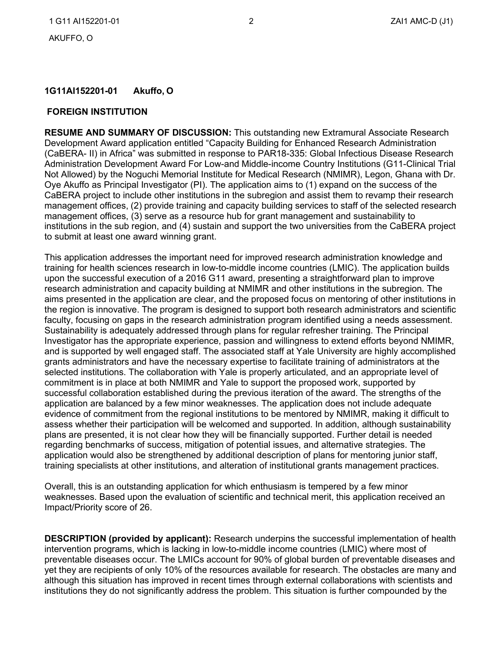### **1G11AI152201-01 Akuffo, O**

#### **FOREIGN INSTITUTION**

**RESUME AND SUMMARY OF DISCUSSION:** This outstanding new Extramural Associate Research Development Award application entitled "Capacity Building for Enhanced Research Administration (CaBERA- II) in Africa" was submitted in response to PAR18-335: Global Infectious Disease Research Administration Development Award For Low-and Middle-income Country Institutions (G11-Clinical Trial Not Allowed) by the Noguchi Memorial Institute for Medical Research (NMIMR), Legon, Ghana with Dr. Oye Akuffo as Principal Investigator (PI). The application aims to (1) expand on the success of the CaBERA project to include other institutions in the subregion and assist them to revamp their research management offices, (2) provide training and capacity building services to staff of the selected research management offices, (3) serve as a resource hub for grant management and sustainability to institutions in the sub region, and (4) sustain and support the two universities from the CaBERA project to submit at least one award winning grant.

This application addresses the important need for improved research administration knowledge and training for health sciences research in low-to-middle income countries (LMIC). The application builds upon the successful execution of a 2016 G11 award, presenting a straightforward plan to improve research administration and capacity building at NMIMR and other institutions in the subregion. The aims presented in the application are clear, and the proposed focus on mentoring of other institutions in the region is innovative. The program is designed to support both research administrators and scientific faculty, focusing on gaps in the research administration program identified using a needs assessment. Sustainability is adequately addressed through plans for regular refresher training. The Principal Investigator has the appropriate experience, passion and willingness to extend efforts beyond NMIMR, and is supported by well engaged staff. The associated staff at Yale University are highly accomplished grants administrators and have the necessary expertise to facilitate training of administrators at the selected institutions. The collaboration with Yale is properly articulated, and an appropriate level of commitment is in place at both NMIMR and Yale to support the proposed work, supported by successful collaboration established during the previous iteration of the award. The strengths of the application are balanced by a few minor weaknesses. The application does not include adequate evidence of commitment from the regional institutions to be mentored by NMIMR, making it difficult to assess whether their participation will be welcomed and supported. In addition, although sustainability plans are presented, it is not clear how they will be financially supported. Further detail is needed regarding benchmarks of success, mitigation of potential issues, and alternative strategies. The application would also be strengthened by additional description of plans for mentoring junior staff, training specialists at other institutions, and alteration of institutional grants management practices.

Overall, this is an outstanding application for which enthusiasm is tempered by a few minor weaknesses. Based upon the evaluation of scientific and technical merit, this application received an Impact/Priority score of 26.

**DESCRIPTION (provided by applicant):** Research underpins the successful implementation of health intervention programs, which is lacking in low-to-middle income countries (LMIC) where most of preventable diseases occur. The LMICs account for 90% of global burden of preventable diseases and yet they are recipients of only 10% of the resources available for research. The obstacles are many and although this situation has improved in recent times through external collaborations with scientists and institutions they do not significantly address the problem. This situation is further compounded by the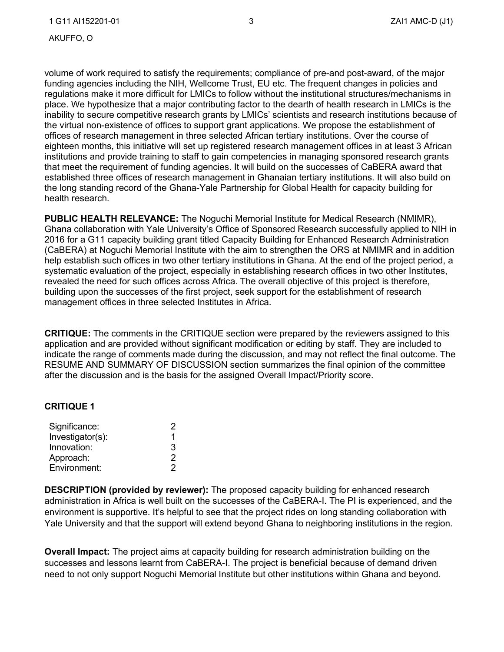volume of work required to satisfy the requirements; compliance of pre-and post-award, of the major funding agencies including the NIH, Wellcome Trust, EU etc. The frequent changes in policies and regulations make it more difficult for LMICs to follow without the institutional structures/mechanisms in place. We hypothesize that a major contributing factor to the dearth of health research in LMICs is the inability to secure competitive research grants by LMICs' scientists and research institutions because of the virtual non-existence of offices to support grant applications. We propose the establishment of offices of research management in three selected African tertiary institutions. Over the course of eighteen months, this initiative will set up registered research management offices in at least 3 African institutions and provide training to staff to gain competencies in managing sponsored research grants that meet the requirement of funding agencies. It will build on the successes of CaBERA award that established three offices of research management in Ghanaian tertiary institutions. It will also build on the long standing record of the Ghana-Yale Partnership for Global Health for capacity building for health research.

**PUBLIC HEALTH RELEVANCE:** The Noguchi Memorial Institute for Medical Research (NMIMR), Ghana collaboration with Yale University's Office of Sponsored Research successfully applied to NIH in 2016 for a G11 capacity building grant titled Capacity Building for Enhanced Research Administration (CaBERA) at Noguchi Memorial Institute with the aim to strengthen the ORS at NMIMR and in addition help establish such offices in two other tertiary institutions in Ghana. At the end of the project period, a systematic evaluation of the project, especially in establishing research offices in two other Institutes, revealed the need for such offices across Africa. The overall objective of this project is therefore, building upon the successes of the first project, seek support for the establishment of research management offices in three selected Institutes in Africa.

**CRITIQUE:** The comments in the CRITIQUE section were prepared by the reviewers assigned to this application and are provided without significant modification or editing by staff. They are included to indicate the range of comments made during the discussion, and may not reflect the final outcome. The RESUME AND SUMMARY OF DISCUSSION section summarizes the final opinion of the committee after the discussion and is the basis for the assigned Overall Impact/Priority score.

#### **CRITIQUE 1**

| Significance:    | '2 |
|------------------|----|
| Investigator(s): |    |
| Innovation:      | 3  |
| Approach:        | 2  |
| Environment:     | 2  |

**DESCRIPTION (provided by reviewer):** The proposed capacity building for enhanced research administration in Africa is well built on the successes of the CaBERA-I. The PI is experienced, and the environment is supportive. It's helpful to see that the project rides on long standing collaboration with Yale University and that the support will extend beyond Ghana to neighboring institutions in the region.

**Overall Impact:** The project aims at capacity building for research administration building on the successes and lessons learnt from CaBERA-I. The project is beneficial because of demand driven need to not only support Noguchi Memorial Institute but other institutions within Ghana and beyond.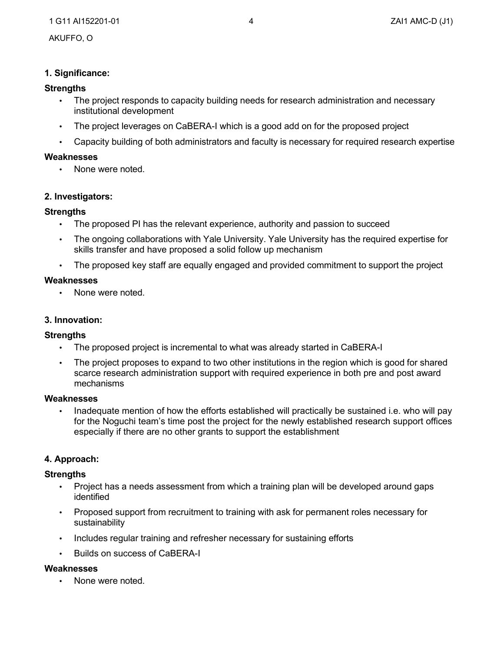# **1. Significance:**

# **Strengths**

- The project responds to capacity building needs for research administration and necessary institutional development
- The project leverages on CaBERA-I which is a good add on for the proposed project
- Capacity building of both administrators and faculty is necessary for required research expertise

# **Weaknesses**

• None were noted.

# **2. Investigators:**

# **Strengths**

- The proposed PI has the relevant experience, authority and passion to succeed
- The ongoing collaborations with Yale University. Yale University has the required expertise for skills transfer and have proposed a solid follow up mechanism
- The proposed key staff are equally engaged and provided commitment to support the project

# **Weaknesses**

• None were noted.

# **3. Innovation:**

## **Strengths**

- The proposed project is incremental to what was already started in CaBERA-I
- The project proposes to expand to two other institutions in the region which is good for shared scarce research administration support with required experience in both pre and post award mechanisms

## **Weaknesses**

• for the Noguchi team's time post the project for the newly established research support offices especially if there are no other grants to support the establishment Inadequate mention of how the efforts established will practically be sustained i.e. who will pay

## **4. Approach:**

## **Strengths**

- Project has a needs assessment from which a training plan will be developed around gaps identified
- Proposed support from recruitment to training with ask for permanent roles necessary for sustainability
- Includes regular training and refresher necessary for sustaining efforts
- Builds on success of CaBERA-I

## **Weaknesses**

• None were noted.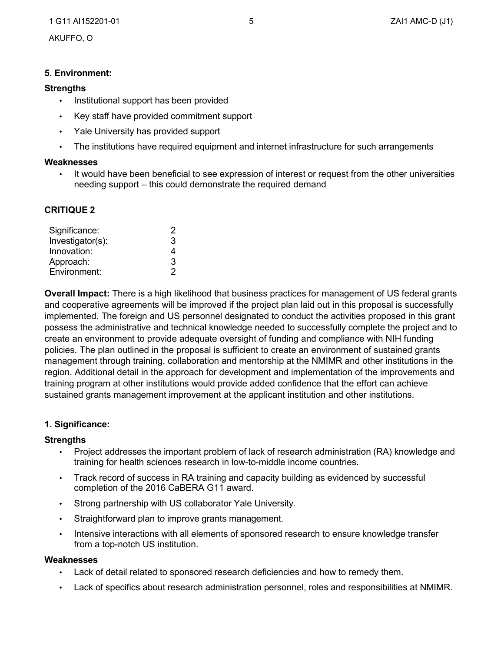## **5. Environment:**

#### **Strengths**

- Institutional support has been provided
- Key staff have provided commitment support
- Yale University has provided support
- The institutions have required equipment and internet infrastructure for such arrangements

#### **Weaknesses**

• It would have been beneficial to see expression of interest or request from the other universities needing support – this could demonstrate the required demand

## **CRITIQUE 2**

| Significance:    | 2 |
|------------------|---|
| Investigator(s): | 3 |
| Innovation:      | 4 |
| Approach:        | 3 |
| Environment:     | 2 |

**Overall Impact:** There is a high likelihood that business practices for management of US federal grants and cooperative agreements will be improved if the project plan laid out in this proposal is successfully implemented. The foreign and US personnel designated to conduct the activities proposed in this grant possess the administrative and technical knowledge needed to successfully complete the project and to create an environment to provide adequate oversight of funding and compliance with NIH funding policies. The plan outlined in the proposal is sufficient to create an environment of sustained grants management through training, collaboration and mentorship at the NMIMR and other institutions in the region. Additional detail in the approach for development and implementation of the improvements and training program at other institutions would provide added confidence that the effort can achieve sustained grants management improvement at the applicant institution and other institutions.

#### **1. Significance:**

#### **Strengths**

- Project addresses the important problem of lack of research administration (RA) knowledge and training for health sciences research in low-to-middle income countries.
- Track record of success in RA training and capacity building as evidenced by successful completion of the 2016 CaBERA G11 award.
- Strong partnership with US collaborator Yale University.
- Straightforward plan to improve grants management.
- Intensive interactions with all elements of sponsored research to ensure knowledge transfer from a top-notch US institution.

#### **Weaknesses**

- Lack of detail related to sponsored research deficiencies and how to remedy them.
- Lack of specifics about research administration personnel, roles and responsibilities at NMIMR.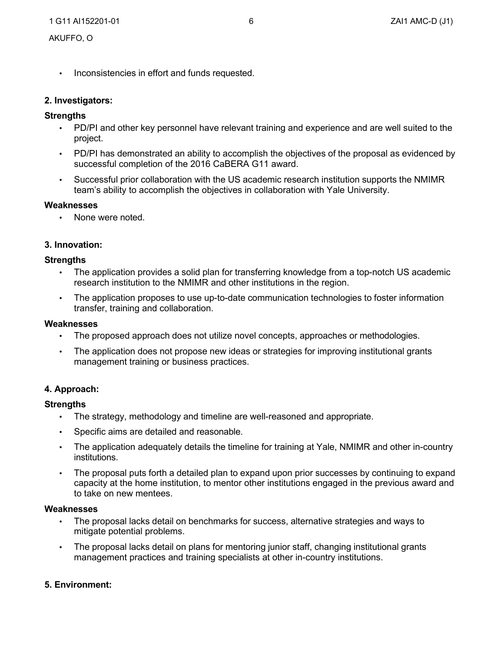• Inconsistencies in effort and funds requested.

### **2. Investigators:**

## **Strengths**

- PD/PI and other key personnel have relevant training and experience and are well suited to the project.
- PD/PI has demonstrated an ability to accomplish the objectives of the proposal as evidenced by successful completion of the 2016 CaBERA G11 award.
- Successful prior collaboration with the US academic research institution supports the NMIMR team's ability to accomplish the objectives in collaboration with Yale University.

#### **Weaknesses**

None were noted.

### **3. Innovation:**

### **Strengths**

- The application provides a solid plan for transferring knowledge from a top-notch US academic research institution to the NMIMR and other institutions in the region.
- The application proposes to use up-to-date communication technologies to foster information transfer, training and collaboration.

#### **Weaknesses**

- The proposed approach does not utilize novel concepts, approaches or methodologies.
- The application does not propose new ideas or strategies for improving institutional grants management training or business practices.

## **4. Approach:**

## **Strengths**

- The strategy, methodology and timeline are well-reasoned and appropriate.
- Specific aims are detailed and reasonable.
- The application adequately details the timeline for training at Yale, NMIMR and other in-country institutions.
- The proposal puts forth a detailed plan to expand upon prior successes by continuing to expand capacity at the home institution, to mentor other institutions engaged in the previous award and to take on new mentees.

#### **Weaknesses**

- The proposal lacks detail on benchmarks for success, alternative strategies and ways to mitigate potential problems.
- The proposal lacks detail on plans for mentoring junior staff, changing institutional grants management practices and training specialists at other in-country institutions.

## **5. Environment:**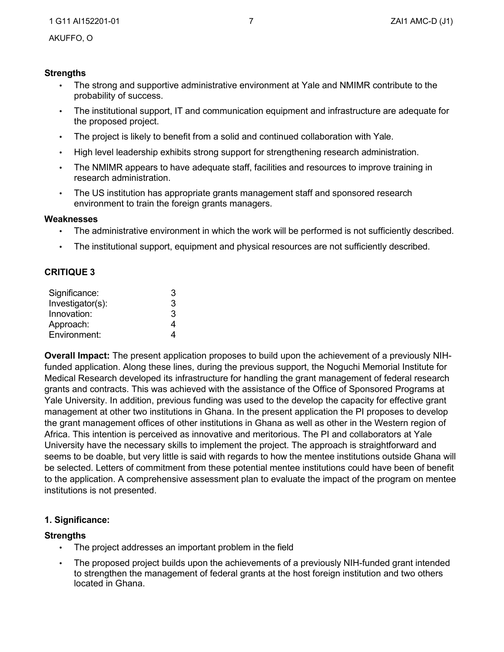## **Strengths**

- The strong and supportive administrative environment at Yale and NMIMR contribute to the probability of success.
- The institutional support, IT and communication equipment and infrastructure are adequate for the proposed project.
- The project is likely to benefit from a solid and continued collaboration with Yale.
- High level leadership exhibits strong support for strengthening research administration.
- The NMIMR appears to have adequate staff, facilities and resources to improve training in research administration.
- The US institution has appropriate grants management staff and sponsored research environment to train the foreign grants managers.

#### **Weaknesses**

- The administrative environment in which the work will be performed is not sufficiently described.
- The institutional support, equipment and physical resources are not sufficiently described.

## **CRITIQUE 3**

| Significance:    | З |
|------------------|---|
| Investigator(s): | 3 |
| Innovation:      | 3 |
| Approach:        | 4 |
| Environment:     |   |

**Overall Impact:** The present application proposes to build upon the achievement of a previously NIHfunded application. Along these lines, during the previous support, the Noguchi Memorial Institute for Medical Research developed its infrastructure for handling the grant management of federal research grants and contracts. This was achieved with the assistance of the Office of Sponsored Programs at Yale University. In addition, previous funding was used to the develop the capacity for effective grant management at other two institutions in Ghana. In the present application the PI proposes to develop the grant management offices of other institutions in Ghana as well as other in the Western region of Africa. This intention is perceived as innovative and meritorious. The PI and collaborators at Yale University have the necessary skills to implement the project. The approach is straightforward and seems to be doable, but very little is said with regards to how the mentee institutions outside Ghana will be selected. Letters of commitment from these potential mentee institutions could have been of benefit to the application. A comprehensive assessment plan to evaluate the impact of the program on mentee institutions is not presented.

## **1. Significance:**

## **Strengths**

- The project addresses an important problem in the field
- The proposed project builds upon the achievements of a previously NIH-funded grant intended to strengthen the management of federal grants at the host foreign institution and two others located in Ghana.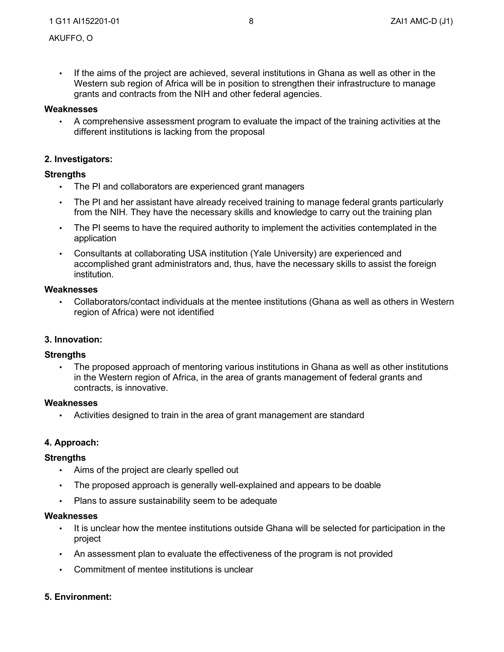• If the aims of the project are achieved, several institutions in Ghana as well as other in the Western sub region of Africa will be in position to strengthen their infrastructure to manage grants and contracts from the NIH and other federal agencies.

### **Weaknesses**

• different institutions is lacking from the proposal A comprehensive assessment program to evaluate the impact of the training activities at the

## **2. Investigators:**

### **Strengths**

- The PI and collaborators are experienced grant managers
- The PI and her assistant have already received training to manage federal grants particularly from the NIH. They have the necessary skills and knowledge to carry out the training plan
- The PI seems to have the required authority to implement the activities contemplated in the application
- Consultants at collaborating USA institution (Yale University) are experienced and accomplished grant administrators and, thus, have the necessary skills to assist the foreign institution.

#### **Weaknesses**

• Collaborators/contact individuals at the mentee institutions (Ghana as well as others in Western region of Africa) were not identified

#### **3. Innovation:**

#### **Strengths**

• The proposed approach of mentoring various institutions in Ghana as well as other institutions in the Western region of Africa, in the area of grants management of federal grants and contracts, is innovative.

#### **Weaknesses**

• Activities designed to train in the area of grant management are standard

#### **4. Approach:**

#### **Strengths**

- Aims of the project are clearly spelled out
- The proposed approach is generally well-explained and appears to be doable
- Plans to assure sustainability seem to be adequate

#### **Weaknesses**

- It is unclear how the mentee institutions outside Ghana will be selected for participation in the project
- An assessment plan to evaluate the effectiveness of the program is not provided
- Commitment of mentee institutions is unclear

## **5. Environment:**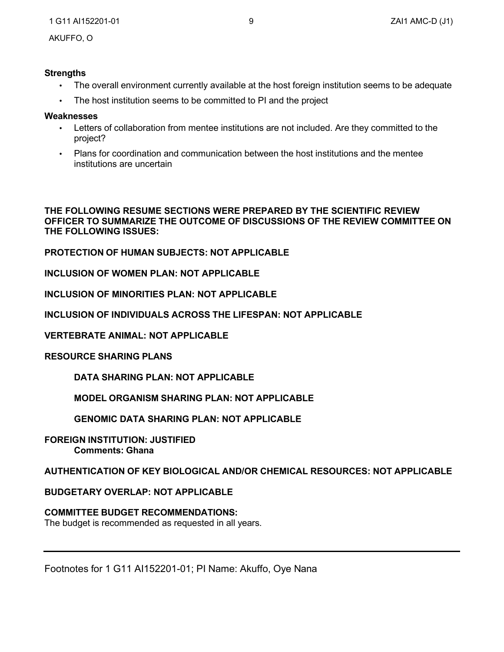#### **Strengths**

- The overall environment currently available at the host foreign institution seems to be adequate
- The host institution seems to be committed to PI and the project

#### **Weaknesses**

- Letters of collaboration from mentee institutions are not included. Are they committed to the project?
- Plans for coordination and communication between the host institutions and the mentee institutions are uncertain

**THE FOLLOWING RESUME SECTIONS WERE PREPARED BY THE SCIENTIFIC REVIEW OFFICER TO SUMMARIZE THE OUTCOME OF DISCUSSIONS OF THE REVIEW COMMITTEE ON THE FOLLOWING ISSUES:**

**PROTECTION OF HUMAN SUBJECTS: NOT APPLICABLE** 

**INCLUSION OF WOMEN PLAN: NOT APPLICABLE** 

**INCLUSION OF MINORITIES PLAN: NOT APPLICABLE**

**INCLUSION OF INDIVIDUALS ACROSS THE LIFESPAN: NOT APPLICABLE** 

**VERTEBRATE ANIMAL: NOT APPLICABLE**

**RESOURCE SHARING PLANS**

**DATA SHARING PLAN: NOT APPLICABLE**

**MODEL ORGANISM SHARING PLAN: NOT APPLICABLE** 

**GENOMIC DATA SHARING PLAN: NOT APPLICABLE**

**FOREIGN INSTITUTION: JUSTIFIED Comments: Ghana**

**AUTHENTICATION OF KEY BIOLOGICAL AND/OR CHEMICAL RESOURCES: NOT APPLICABLE** 

**BUDGETARY OVERLAP: NOT APPLICABLE**

## **COMMITTEE BUDGET RECOMMENDATIONS:**

The budget is recommended as requested in all years.

Footnotes for 1 G11 AI152201-01; PI Name: Akuffo, Oye Nana